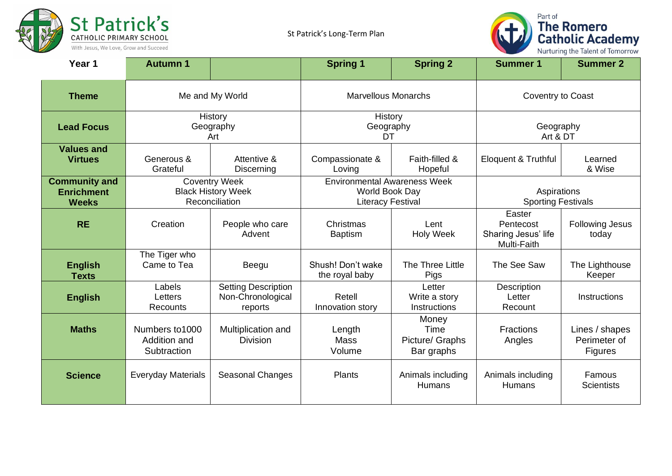



| Year <sub>1</sub>                                         | <b>Autumn 1</b>                                                     |                                                            | <b>Spring 1</b>                                                                   | <b>Spring 2</b>                                | <b>Summer 1</b>                                           | <b>Summer 2</b>                                  |  |
|-----------------------------------------------------------|---------------------------------------------------------------------|------------------------------------------------------------|-----------------------------------------------------------------------------------|------------------------------------------------|-----------------------------------------------------------|--------------------------------------------------|--|
| <b>Theme</b>                                              |                                                                     | Me and My World                                            |                                                                                   | <b>Marvellous Monarchs</b>                     |                                                           | Coventry to Coast                                |  |
| <b>Lead Focus</b>                                         | History<br>Geography<br>Art                                         |                                                            |                                                                                   | History<br>Geography<br>DT                     |                                                           | Geography<br>Art & DT                            |  |
| <b>Values and</b><br><b>Virtues</b>                       | Generous &<br>Grateful                                              | Attentive &<br>Discerning                                  | Compassionate &<br>Loving                                                         | Faith-filled &<br>Hopeful                      | Eloquent & Truthful                                       | Learned<br>& Wise                                |  |
| <b>Community and</b><br><b>Enrichment</b><br><b>Weeks</b> | <b>Coventry Week</b><br><b>Black History Week</b><br>Reconciliation |                                                            | <b>Environmental Awareness Week</b><br>World Book Day<br><b>Literacy Festival</b> |                                                | Aspirations<br><b>Sporting Festivals</b>                  |                                                  |  |
| <b>RE</b>                                                 | Creation                                                            | People who care<br>Advent                                  | Christmas<br><b>Baptism</b>                                                       | Lent<br><b>Holy Week</b>                       | Easter<br>Pentecost<br>Sharing Jesus' life<br>Multi-Faith | <b>Following Jesus</b><br>today                  |  |
| <b>English</b><br><b>Texts</b>                            | The Tiger who<br>Came to Tea                                        | Beegu                                                      | Shush! Don't wake<br>the royal baby                                               | The Three Little<br>Pigs                       | The See Saw                                               | The Lighthouse<br>Keeper                         |  |
| <b>English</b>                                            | Labels<br>Letters<br>Recounts                                       | <b>Setting Description</b><br>Non-Chronological<br>reports | Retell<br>Innovation story                                                        | Letter<br>Write a story<br><b>Instructions</b> | Description<br>Letter<br>Recount                          | Instructions                                     |  |
| <b>Maths</b>                                              | Numbers to 1000<br>Addition and<br>Subtraction                      | Multiplication and<br><b>Division</b>                      | Length<br><b>Mass</b><br>Volume                                                   | Money<br>Time<br>Picture/ Graphs<br>Bar graphs | <b>Fractions</b><br>Angles                                | Lines / shapes<br>Perimeter of<br><b>Figures</b> |  |
| <b>Science</b>                                            | <b>Everyday Materials</b>                                           | <b>Seasonal Changes</b>                                    | Plants                                                                            | Animals including<br>Humans                    | Animals including<br><b>Humans</b>                        | Famous<br><b>Scientists</b>                      |  |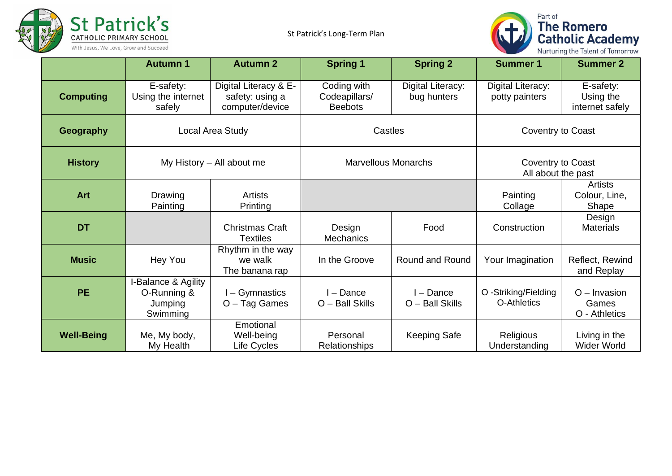



|                   | <b>Autumn 1</b>                                           | <b>Autumn 2</b>                                             | <b>Spring 1</b>                                | <b>Spring 2</b>                  | <b>Summer 1</b>                     | <b>Summer 2</b>                           |  |
|-------------------|-----------------------------------------------------------|-------------------------------------------------------------|------------------------------------------------|----------------------------------|-------------------------------------|-------------------------------------------|--|
| <b>Computing</b>  | E-safety:<br>Using the internet<br>safely                 | Digital Literacy & E-<br>safety: using a<br>computer/device | Coding with<br>Codeapillars/<br><b>Beebots</b> | Digital Literacy:<br>bug hunters | Digital Literacy:<br>potty painters | E-safety:<br>Using the<br>internet safely |  |
| Geography         | Local Area Study                                          |                                                             | Castles                                        |                                  | Coventry to Coast                   |                                           |  |
| <b>History</b>    |                                                           | My History - All about me                                   | <b>Marvellous Monarchs</b>                     |                                  |                                     | Coventry to Coast<br>All about the past   |  |
| <b>Art</b>        | Drawing<br>Painting                                       | Artists<br>Printing                                         |                                                |                                  | Painting<br>Collage                 | <b>Artists</b><br>Colour, Line,<br>Shape  |  |
| <b>DT</b>         |                                                           | <b>Christmas Craft</b><br><b>Textiles</b>                   | Design<br><b>Mechanics</b>                     | Food                             | Construction                        | Design<br><b>Materials</b>                |  |
| <b>Music</b>      | Hey You                                                   | Rhythm in the way<br>we walk<br>The banana rap              | In the Groove                                  | Round and Round                  | Your Imagination                    | Reflect, Rewind<br>and Replay             |  |
| <b>PE</b>         | I-Balance & Agility<br>O-Running &<br>Jumping<br>Swimming | I-Gymnastics<br>O - Tag Games                               | I - Dance<br>O - Ball Skills                   | l - Dance<br>O - Ball Skills     | O -Striking/Fielding<br>O-Athletics | $O$ – Invasion<br>Games<br>O - Athletics  |  |
| <b>Well-Being</b> | Me, My body,<br>My Health                                 | Emotional<br>Well-being<br>Life Cycles                      | Personal<br>Relationships                      | <b>Keeping Safe</b>              | <b>Religious</b><br>Understanding   | Living in the<br><b>Wider World</b>       |  |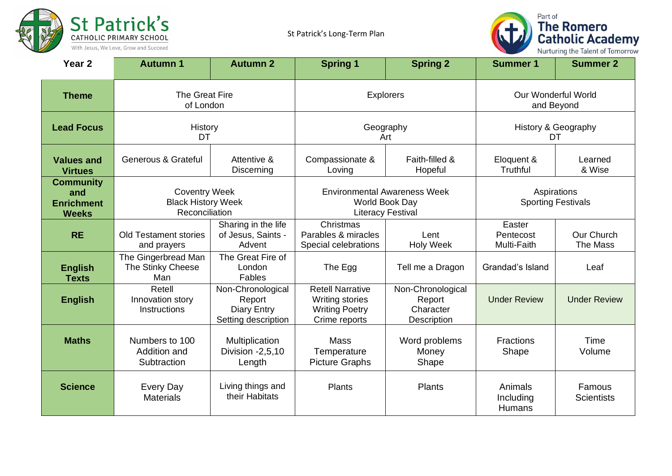



| Year <sub>2</sub>                                            | <b>Autumn 1</b>                                                     | <b>Autumn 2</b>                                                          | <b>Spring 1</b>                                                                             | <b>Spring 2</b>                                         | <b>Summer 1</b>                          | <b>Summer 2</b>             |
|--------------------------------------------------------------|---------------------------------------------------------------------|--------------------------------------------------------------------------|---------------------------------------------------------------------------------------------|---------------------------------------------------------|------------------------------------------|-----------------------------|
| <b>Theme</b>                                                 | The Great Fire<br>of London                                         |                                                                          | <b>Explorers</b>                                                                            |                                                         | <b>Our Wonderful World</b><br>and Beyond |                             |
| <b>Lead Focus</b>                                            | History<br>DT                                                       |                                                                          | Geography<br>Art                                                                            |                                                         | History & Geography<br>DT                |                             |
| <b>Values and</b><br><b>Virtues</b>                          | <b>Generous &amp; Grateful</b>                                      | Attentive &<br><b>Discerning</b>                                         | Compassionate &<br>Loving                                                                   | Faith-filled &<br>Hopeful                               | Eloquent &<br>Truthful                   | Learned<br>& Wise           |
| <b>Community</b><br>and<br><b>Enrichment</b><br><b>Weeks</b> | <b>Coventry Week</b><br><b>Black History Week</b><br>Reconciliation |                                                                          | <b>Environmental Awareness Week</b><br>World Book Day<br><b>Literacy Festival</b>           |                                                         | Aspirations<br><b>Sporting Festivals</b> |                             |
| <b>RE</b>                                                    | <b>Old Testament stories</b><br>and prayers                         | Sharing in the life<br>of Jesus, Saints -<br>Advent                      | Christmas<br>Parables & miracles<br>Special celebrations                                    | Lent<br><b>Holy Week</b>                                | Easter<br>Pentecost<br>Multi-Faith       | Our Church<br>The Mass      |
| <b>English</b><br><b>Texts</b>                               | The Gingerbread Man<br>The Stinky Cheese<br>Man                     | The Great Fire of<br>London<br><b>Fables</b>                             | The Egg                                                                                     | Tell me a Dragon                                        | Grandad's Island                         | Leaf                        |
| <b>English</b>                                               | Retell<br>Innovation story<br><b>Instructions</b>                   | Non-Chronological<br>Report<br><b>Diary Entry</b><br>Setting description | <b>Retell Narrative</b><br><b>Writing stories</b><br><b>Writing Poetry</b><br>Crime reports | Non-Chronological<br>Report<br>Character<br>Description | <b>Under Review</b>                      | <b>Under Review</b>         |
| <b>Maths</b>                                                 | Numbers to 100<br>Addition and<br>Subtraction                       | Multiplication<br>Division -2,5,10<br>Length                             | <b>Mass</b><br>Temperature<br><b>Picture Graphs</b>                                         | Word problems<br>Money<br>Shape                         | <b>Fractions</b><br>Shape                | Time<br>Volume              |
| <b>Science</b>                                               | <b>Every Day</b><br><b>Materials</b>                                | Living things and<br>their Habitats                                      | <b>Plants</b>                                                                               | <b>Plants</b>                                           | Animals<br>Including<br>Humans           | Famous<br><b>Scientists</b> |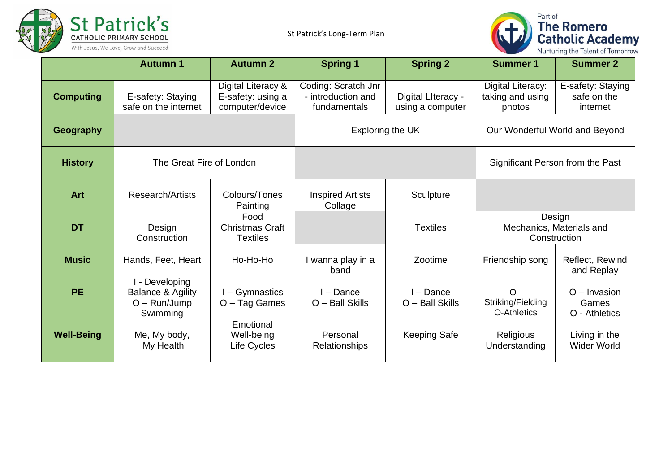



|                   | <b>Autumn 1</b>                                                              | <b>Autumn 2</b>                                            | <b>Spring 1</b>                                           | <b>Spring 2</b>                        | <b>Summer 1</b>                                    | <b>Summer 2</b>                              |
|-------------------|------------------------------------------------------------------------------|------------------------------------------------------------|-----------------------------------------------------------|----------------------------------------|----------------------------------------------------|----------------------------------------------|
| <b>Computing</b>  | E-safety: Staying<br>safe on the internet                                    | Digital Literacy &<br>E-safety: using a<br>computer/device | Coding: Scratch Jnr<br>- introduction and<br>fundamentals | Digital Literacy -<br>using a computer | Digital Literacy:<br>taking and using<br>photos    | E-safety: Staying<br>safe on the<br>internet |
| Geography         |                                                                              |                                                            | Exploring the UK                                          |                                        | Our Wonderful World and Beyond                     |                                              |
| <b>History</b>    | The Great Fire of London                                                     |                                                            |                                                           |                                        |                                                    | Significant Person from the Past             |
| <b>Art</b>        | Research/Artists                                                             | Colours/Tones<br>Painting                                  | <b>Inspired Artists</b><br>Collage                        | Sculpture                              |                                                    |                                              |
| <b>DT</b>         | Design<br>Construction                                                       | Food<br><b>Christmas Craft</b><br><b>Textiles</b>          |                                                           | <b>Textiles</b>                        | Design<br>Mechanics, Materials and<br>Construction |                                              |
| <b>Music</b>      | Hands, Feet, Heart                                                           | Ho-Ho-Ho                                                   | I wanna play in a<br>band                                 | Zootime                                | Friendship song                                    | Reflect, Rewind<br>and Replay                |
| <b>PE</b>         | I - Developing<br><b>Balance &amp; Agility</b><br>$O - Run/Jump$<br>Swimming | I-Gymnastics<br>O - Tag Games                              | $I - Dance$<br>O - Ball Skills                            | I - Dance<br>O - Ball Skills           | $O -$<br>Striking/Fielding<br>O-Athletics          | $O$ – Invasion<br>Games<br>O - Athletics     |
| <b>Well-Being</b> | Me, My body,<br>My Health                                                    | Emotional<br>Well-being<br>Life Cycles                     | Personal<br><b>Relationships</b>                          | <b>Keeping Safe</b>                    | Religious<br>Understanding                         | Living in the<br><b>Wider World</b>          |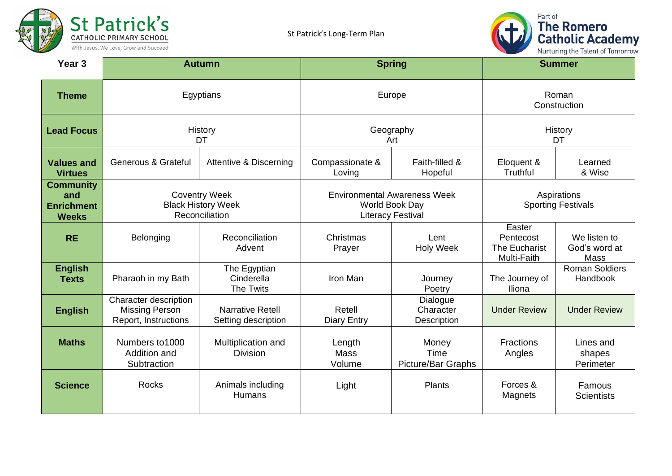



| Year <sub>3</sub>                                            |                                                                        | <b>Autumn</b>                                  |                                                                                   | <b>Spring</b>                               |                                                     | <b>Summer</b>                         |  |
|--------------------------------------------------------------|------------------------------------------------------------------------|------------------------------------------------|-----------------------------------------------------------------------------------|---------------------------------------------|-----------------------------------------------------|---------------------------------------|--|
| <b>Theme</b>                                                 |                                                                        | Egyptians                                      |                                                                                   | Europe                                      | Roman<br>Construction                               |                                       |  |
| <b>Lead Focus</b>                                            |                                                                        | History<br><b>DT</b>                           |                                                                                   | Geography<br>Art                            |                                                     | History<br><b>DT</b>                  |  |
| <b>Values and</b><br><b>Virtues</b>                          | <b>Generous &amp; Grateful</b>                                         | Attentive & Discerning                         | Compassionate &<br>Loving                                                         | Faith-filled &<br>Hopeful                   | Eloquent &<br>Truthful                              | Learned<br>& Wise                     |  |
| <b>Community</b><br>and<br><b>Enrichment</b><br><b>Weeks</b> | <b>Coventry Week</b><br><b>Black History Week</b><br>Reconciliation    |                                                | <b>Environmental Awareness Week</b><br>World Book Day<br><b>Literacy Festival</b> |                                             | Aspirations<br><b>Sporting Festivals</b>            |                                       |  |
| <b>RE</b>                                                    | Belonging                                                              | Reconciliation<br>Advent                       | Christmas<br>Prayer                                                               | Lent<br><b>Holy Week</b>                    | Easter<br>Pentecost<br>The Eucharist<br>Multi-Faith | We listen to<br>God's word at<br>Mass |  |
| <b>English</b><br><b>Texts</b>                               | Pharaoh in my Bath                                                     | The Egyptian<br>Cinderella<br><b>The Twits</b> | Iron Man                                                                          | Journey<br>Poetry                           | The Journey of<br>Iliona                            | <b>Roman Soldiers</b><br>Handbook     |  |
| <b>English</b>                                               | Character description<br><b>Missing Person</b><br>Report, Instructions | <b>Narrative Retell</b><br>Setting description | Retell<br><b>Diary Entry</b>                                                      | Dialogue<br>Character<br><b>Description</b> | <b>Under Review</b>                                 | <b>Under Review</b>                   |  |
| <b>Maths</b>                                                 | Numbers to 1000<br>Addition and<br>Subtraction                         | Multiplication and<br><b>Division</b>          | Length<br><b>Mass</b><br>Volume                                                   | Money<br>Time<br><b>Picture/Bar Graphs</b>  | <b>Fractions</b><br>Angles                          | Lines and<br>shapes<br>Perimeter      |  |
| <b>Science</b>                                               | <b>Rocks</b>                                                           | Animals including<br><b>Humans</b>             | Light                                                                             | <b>Plants</b>                               | Forces &<br>Magnets                                 | Famous<br><b>Scientists</b>           |  |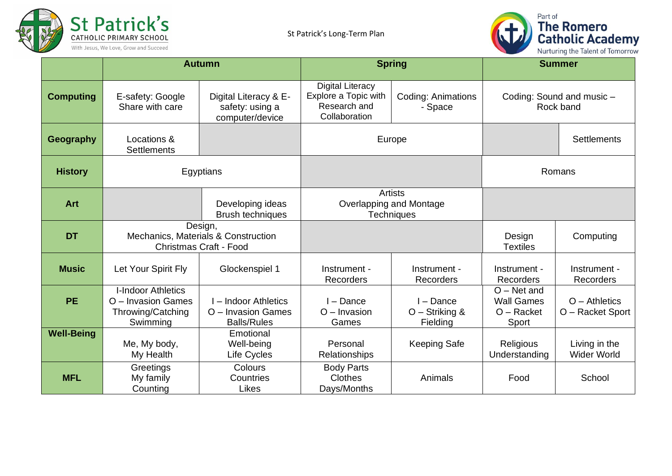



|                   | <b>Autumn</b>                                                                    |                                                                | <b>Spring</b>                                                                    |                                         | <b>Summer</b>                                               |                                        |
|-------------------|----------------------------------------------------------------------------------|----------------------------------------------------------------|----------------------------------------------------------------------------------|-----------------------------------------|-------------------------------------------------------------|----------------------------------------|
| <b>Computing</b>  | E-safety: Google<br>Share with care                                              | Digital Literacy & E-<br>safety: using a<br>computer/device    | <b>Digital Literacy</b><br>Explore a Topic with<br>Research and<br>Collaboration | <b>Coding: Animations</b><br>- Space    |                                                             | Coding: Sound and music -<br>Rock band |
| Geography         | Locations &<br><b>Settlements</b>                                                |                                                                | Europe                                                                           |                                         |                                                             | <b>Settlements</b>                     |
| <b>History</b>    | Egyptians                                                                        |                                                                |                                                                                  |                                         |                                                             | Romans                                 |
| <b>Art</b>        |                                                                                  | Developing ideas<br><b>Brush techniques</b>                    | Artists<br>Overlapping and Montage<br><b>Techniques</b>                          |                                         |                                                             |                                        |
| <b>DT</b>         | Design,<br>Mechanics, Materials & Construction<br><b>Christmas Craft - Food</b>  |                                                                |                                                                                  |                                         | Design<br><b>Textiles</b>                                   | Computing                              |
| <b>Music</b>      | Let Your Spirit Fly                                                              | Glockenspiel 1                                                 | Instrument -<br><b>Recorders</b>                                                 | Instrument -<br>Recorders               | Instrument -<br>Recorders                                   | Instrument -<br><b>Recorders</b>       |
| <b>PE</b>         | <b>I-Indoor Athletics</b><br>O - Invasion Games<br>Throwing/Catching<br>Swimming | - Indoor Athletics<br>O - Invasion Games<br><b>Balls/Rules</b> | - Dance<br>$O$ – Invasion<br>Games                                               | I - Dance<br>O - Striking &<br>Fielding | $O - Net$ and<br><b>Wall Games</b><br>$O -$ Racket<br>Sport | $O -$ Athletics<br>O - Racket Sport    |
| <b>Well-Being</b> | Me, My body,<br>My Health                                                        | Emotional<br>Well-being<br>Life Cycles                         | Personal<br><b>Relationships</b>                                                 | <b>Keeping Safe</b>                     | Religious<br>Understanding                                  | Living in the<br><b>Wider World</b>    |
| <b>MFL</b>        | Greetings<br>My family<br>Counting                                               | Colours<br>Countries<br>Likes                                  | <b>Body Parts</b><br>Clothes<br>Days/Months                                      | Animals                                 | Food                                                        | School                                 |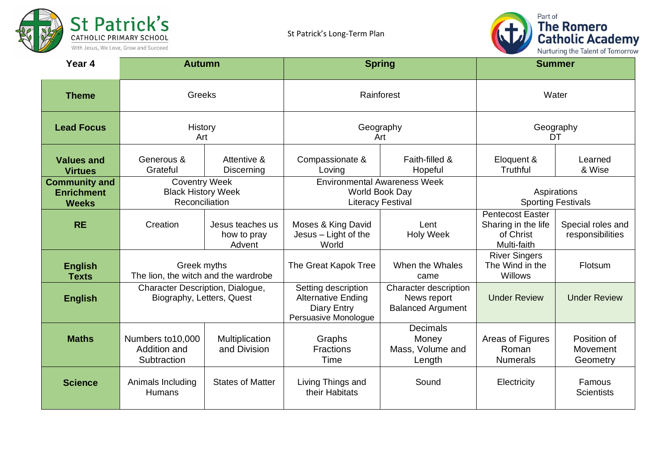



| Year 4                                                    | <b>Autumn</b>                                                       |                                           | <b>Spring</b>                                                                           |                                                                  | <b>Summer</b>                                                              |                                       |  |
|-----------------------------------------------------------|---------------------------------------------------------------------|-------------------------------------------|-----------------------------------------------------------------------------------------|------------------------------------------------------------------|----------------------------------------------------------------------------|---------------------------------------|--|
| <b>Theme</b>                                              | Greeks                                                              |                                           |                                                                                         | Rainforest                                                       | Water                                                                      |                                       |  |
| <b>Lead Focus</b>                                         | History<br>Art                                                      |                                           | Geography<br>Art                                                                        |                                                                  |                                                                            | Geography<br>DT                       |  |
| <b>Values and</b><br><b>Virtues</b>                       | Generous &<br>Grateful                                              | Attentive &<br>Discerning                 | Compassionate &<br>Loving                                                               | Faith-filled &<br>Hopeful                                        | Eloquent &<br>Truthful                                                     | Learned<br>& Wise                     |  |
| <b>Community and</b><br><b>Enrichment</b><br><b>Weeks</b> | <b>Coventry Week</b><br><b>Black History Week</b><br>Reconciliation |                                           | <b>Environmental Awareness Week</b><br>World Book Day<br><b>Literacy Festival</b>       |                                                                  | Aspirations<br><b>Sporting Festivals</b>                                   |                                       |  |
| <b>RE</b>                                                 | Creation                                                            | Jesus teaches us<br>how to pray<br>Advent | Moses & King David<br>Jesus - Light of the<br>World                                     | Lent<br><b>Holy Week</b>                                         | <b>Pentecost Easter</b><br>Sharing in the life<br>of Christ<br>Multi-faith | Special roles and<br>responsibilities |  |
| <b>English</b><br><b>Texts</b>                            | Greek myths<br>The lion, the witch and the wardrobe                 |                                           | The Great Kapok Tree                                                                    | When the Whales<br>came                                          | <b>River Singers</b><br>The Wind in the<br>Willows                         | Flotsum                               |  |
| <b>English</b>                                            | Character Description, Dialogue,<br>Biography, Letters, Quest       |                                           | Setting description<br><b>Alternative Ending</b><br>Diary Entry<br>Persuasive Monologue | Character description<br>News report<br><b>Balanced Argument</b> | <b>Under Review</b>                                                        | <b>Under Review</b>                   |  |
| <b>Maths</b>                                              | Numbers to 10,000<br>Addition and<br>Subtraction                    | Multiplication<br>and Division            | Graphs<br><b>Fractions</b><br>Time                                                      | <b>Decimals</b><br>Money<br>Mass, Volume and<br>Length           | Areas of Figures<br>Roman<br><b>Numerals</b>                               | Position of<br>Movement<br>Geometry   |  |
| <b>Science</b>                                            | Animals Including<br>Humans                                         | <b>States of Matter</b>                   | Living Things and<br>their Habitats                                                     | Sound                                                            | Electricity                                                                | Famous<br><b>Scientists</b>           |  |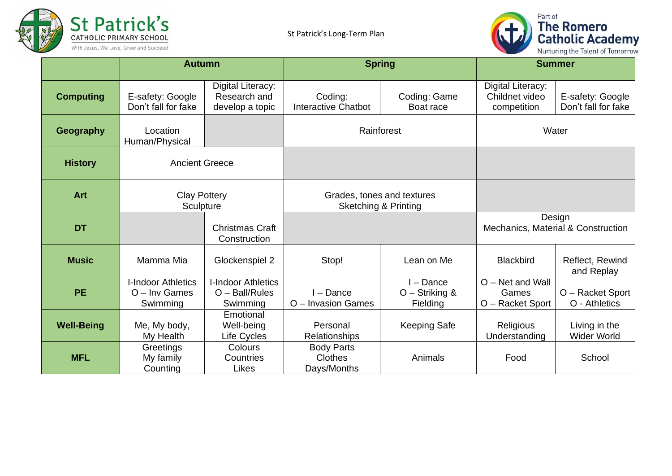



|                   | <b>Autumn</b>                                            |                                                         | <b>Spring</b>                                                 |                                         | <b>Summer</b>                                      |                                              |
|-------------------|----------------------------------------------------------|---------------------------------------------------------|---------------------------------------------------------------|-----------------------------------------|----------------------------------------------------|----------------------------------------------|
| <b>Computing</b>  | E-safety: Google<br>Don't fall for fake                  | Digital Literacy:<br>Research and<br>develop a topic    | Coding:<br><b>Interactive Chatbot</b>                         | Coding: Game<br>Boat race               | Digital Literacy:<br>Childnet video<br>competition | E-safety: Google<br>Don't fall for fake      |
| Geography         | Location<br>Human/Physical                               |                                                         | Rainforest                                                    |                                         | Water                                              |                                              |
| <b>History</b>    | <b>Ancient Greece</b>                                    |                                                         |                                                               |                                         |                                                    |                                              |
| <b>Art</b>        | <b>Clay Pottery</b><br>Sculpture                         |                                                         | Grades, tones and textures<br><b>Sketching &amp; Printing</b> |                                         |                                                    |                                              |
| <b>DT</b>         |                                                          | <b>Christmas Craft</b><br>Construction                  |                                                               |                                         |                                                    | Design<br>Mechanics, Material & Construction |
| <b>Music</b>      | Mamma Mia                                                | Glockenspiel 2                                          | Stop!                                                         | Lean on Me                              | <b>Blackbird</b>                                   | Reflect, Rewind<br>and Replay                |
| <b>PE</b>         | <b>I-Indoor Athletics</b><br>$O$ – Inv Games<br>Swimming | <b>I-Indoor Athletics</b><br>O - Ball/Rules<br>Swimming | I - Dance<br>O - Invasion Games                               | l – Dance<br>O - Striking &<br>Fielding | O - Net and Wall<br>Games<br>O - Racket Sport      | O - Racket Sport<br>O - Athletics            |
| <b>Well-Being</b> | Me, My body,<br>My Health                                | Emotional<br>Well-being<br>Life Cycles                  | Personal<br><b>Relationships</b>                              | <b>Keeping Safe</b>                     | Religious<br>Understanding                         | Living in the<br><b>Wider World</b>          |
| <b>MFL</b>        | Greetings<br>My family<br>Counting                       | Colours<br>Countries<br>Likes                           | <b>Body Parts</b><br><b>Clothes</b><br>Days/Months            | Animals                                 | Food                                               | School                                       |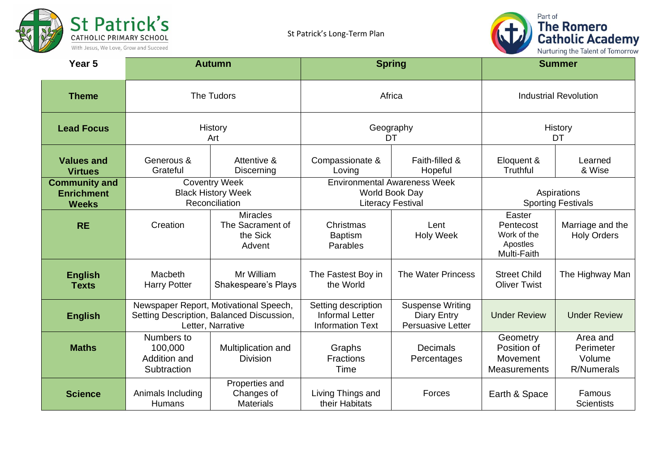



| Year <sub>5</sub>                                         |                                                                                                          | <b>Autumn</b>                                             | <b>Spring</b>                                                                     |                                                                           | <b>Summer</b>                                                 |                                                      |  |
|-----------------------------------------------------------|----------------------------------------------------------------------------------------------------------|-----------------------------------------------------------|-----------------------------------------------------------------------------------|---------------------------------------------------------------------------|---------------------------------------------------------------|------------------------------------------------------|--|
| <b>Theme</b>                                              |                                                                                                          | The Tudors                                                | Africa                                                                            |                                                                           | <b>Industrial Revolution</b>                                  |                                                      |  |
| <b>Lead Focus</b>                                         | History<br>Art                                                                                           |                                                           | Geography<br>DT                                                                   |                                                                           |                                                               | History<br>DT                                        |  |
| Values and<br><b>Virtues</b>                              | Generous &<br>Grateful                                                                                   | Attentive &<br>Discerning                                 | Compassionate &<br>Loving                                                         | Faith-filled &<br>Hopeful                                                 | Eloquent &<br>Truthful                                        | Learned<br>& Wise                                    |  |
| <b>Community and</b><br><b>Enrichment</b><br><b>Weeks</b> | <b>Coventry Week</b><br><b>Black History Week</b><br>Reconciliation                                      |                                                           | <b>Environmental Awareness Week</b><br>World Book Day<br><b>Literacy Festival</b> |                                                                           | Aspirations<br><b>Sporting Festivals</b>                      |                                                      |  |
| <b>RE</b>                                                 | Creation                                                                                                 | <b>Miracles</b><br>The Sacrament of<br>the Sick<br>Advent | Christmas<br><b>Baptism</b><br>Parables                                           | Lent<br><b>Holy Week</b>                                                  | Easter<br>Pentecost<br>Work of the<br>Apostles<br>Multi-Faith | Marriage and the<br><b>Holy Orders</b>               |  |
| <b>English</b><br><b>Texts</b>                            | Macbeth<br><b>Harry Potter</b>                                                                           | Mr William<br>Shakespeare's Plays                         | The Fastest Boy in<br>the World                                                   | The Water Princess                                                        | <b>Street Child</b><br><b>Oliver Twist</b>                    | The Highway Man                                      |  |
| <b>English</b>                                            | Newspaper Report, Motivational Speech,<br>Setting Description, Balanced Discussion,<br>Letter, Narrative |                                                           | Setting description<br><b>Informal Letter</b><br><b>Information Text</b>          | <b>Suspense Writing</b><br><b>Diary Entry</b><br><b>Persuasive Letter</b> | <b>Under Review</b>                                           | <b>Under Review</b>                                  |  |
| <b>Maths</b>                                              | Numbers to<br>100,000<br>Addition and<br>Subtraction                                                     | Multiplication and<br><b>Division</b>                     | Graphs<br><b>Fractions</b><br><b>Time</b>                                         | <b>Decimals</b><br>Percentages                                            | Geometry<br>Position of<br>Movement<br>Measurements           | Area and<br>Perimeter<br>Volume<br><b>R/Numerals</b> |  |
| <b>Science</b>                                            | Animals Including<br><b>Humans</b>                                                                       | Properties and<br>Changes of<br><b>Materials</b>          | Living Things and<br>their Habitats                                               | Forces                                                                    | Earth & Space                                                 | Famous<br><b>Scientists</b>                          |  |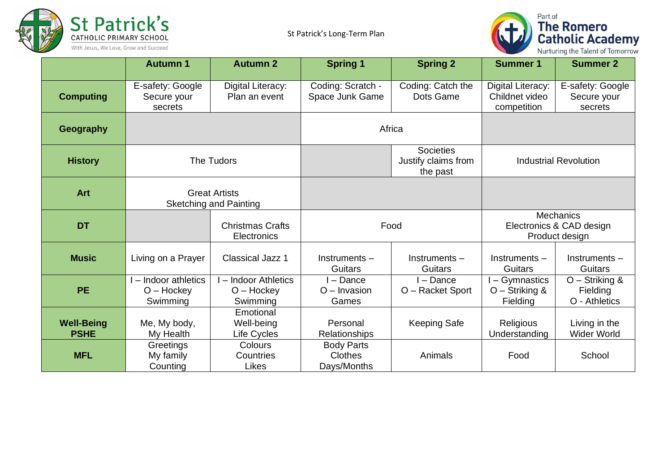



|                                  | <b>Autumn 1</b>                                       | <b>Autumn 2</b>                                  | <b>Spring 1</b>                             | <b>Spring 2</b>                                     | <b>Summer 1</b>                                         | <b>Summer 2</b>                             |
|----------------------------------|-------------------------------------------------------|--------------------------------------------------|---------------------------------------------|-----------------------------------------------------|---------------------------------------------------------|---------------------------------------------|
| <b>Computing</b>                 | E-safety: Google<br>Secure your<br>secrets            | Digital Literacy:<br>Plan an event               | Coding: Scratch -<br>Space Junk Game        | Coding: Catch the<br>Dots Game                      | Digital Literacy:<br>Childnet video<br>competition      | E-safety: Google<br>Secure your<br>secrets  |
| <b>Geography</b>                 |                                                       |                                                  |                                             | Africa                                              |                                                         |                                             |
| <b>History</b>                   | The Tudors                                            |                                                  |                                             | <b>Societies</b><br>Justify claims from<br>the past |                                                         | <b>Industrial Revolution</b>                |
| <b>Art</b>                       | <b>Great Artists</b><br><b>Sketching and Painting</b> |                                                  |                                             |                                                     |                                                         |                                             |
| <b>DT</b>                        |                                                       | <b>Christmas Crafts</b><br>Electronics           | Food                                        |                                                     | Mechanics<br>Electronics & CAD design<br>Product design |                                             |
| <b>Music</b>                     | Living on a Prayer                                    | <b>Classical Jazz 1</b>                          | Instruments-<br>Guitars                     | Instruments-<br>Guitars                             | Instruments-<br>Guitars                                 | Instruments-<br>Guitars                     |
| PE.                              | I - Indoor athletics<br>$O - Hockey$<br>Swimming      | I - Indoor Athletics<br>$O - Hockev$<br>Swimming | l – Dance<br>$O$ – Invasion<br>Games        | - Dance<br>O - Racket Sport                         | - Gymnastics<br>O - Striking &<br>Fielding              | O - Striking &<br>Fielding<br>O - Athletics |
| <b>Well-Being</b><br><b>PSHE</b> | Me, My body,<br>My Health                             | Emotional<br>Well-being<br>Life Cycles           | Personal<br>Relationships                   | <b>Keeping Safe</b>                                 | Religious<br>Understanding                              | Living in the<br><b>Wider World</b>         |
| <b>MFL</b>                       | Greetings<br>My family<br>Counting                    | Colours<br>Countries<br>Likes                    | <b>Body Parts</b><br>Clothes<br>Days/Months | Animals                                             | Food                                                    | School                                      |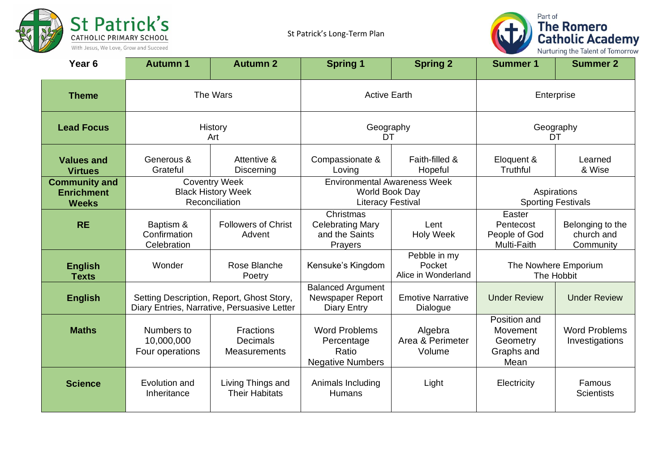



| Year <sub>6</sub>                                         | <b>Autumn 1</b>                                                     | <b>Autumn 2</b>                                                                          | <b>Spring 1</b>                                                                   | <b>Spring 2</b>                               | <b>Summer 1</b>                                            | <b>Summer 2</b>                             |  |
|-----------------------------------------------------------|---------------------------------------------------------------------|------------------------------------------------------------------------------------------|-----------------------------------------------------------------------------------|-----------------------------------------------|------------------------------------------------------------|---------------------------------------------|--|
| <b>Theme</b>                                              |                                                                     | The Wars                                                                                 |                                                                                   | <b>Active Earth</b>                           |                                                            | Enterprise                                  |  |
| <b>Lead Focus</b>                                         | History<br>Art                                                      |                                                                                          | Geography<br>DT                                                                   |                                               | Geography<br>DT                                            |                                             |  |
| <b>Values and</b><br><b>Virtues</b>                       | Generous &<br>Grateful                                              | Attentive &<br>Discerning                                                                | Compassionate &<br>Loving                                                         | Faith-filled &<br>Hopeful                     | Eloquent &<br>Truthful                                     | Learned<br>& Wise                           |  |
| <b>Community and</b><br><b>Enrichment</b><br><b>Weeks</b> | <b>Coventry Week</b><br><b>Black History Week</b><br>Reconciliation |                                                                                          | <b>Environmental Awareness Week</b><br>World Book Day<br><b>Literacy Festival</b> |                                               | Aspirations<br><b>Sporting Festivals</b>                   |                                             |  |
| <b>RE</b>                                                 | Baptism &<br>Confirmation<br>Celebration                            | <b>Followers of Christ</b><br>Advent                                                     | Christmas<br><b>Celebrating Mary</b><br>and the Saints<br>Prayers                 | Lent<br><b>Holy Week</b>                      | Easter<br>Pentecost<br>People of God<br>Multi-Faith        | Belonging to the<br>church and<br>Community |  |
| <b>English</b><br><b>Texts</b>                            | Wonder                                                              | Rose Blanche<br>Poetry                                                                   | Kensuke's Kingdom                                                                 | Pebble in my<br>Pocket<br>Alice in Wonderland | The Nowhere Emporium<br>The Hobbit                         |                                             |  |
| <b>English</b>                                            |                                                                     | Setting Description, Report, Ghost Story,<br>Diary Entries, Narrative, Persuasive Letter | <b>Balanced Argument</b><br>Newspaper Report<br><b>Diary Entry</b>                | <b>Emotive Narrative</b><br>Dialogue          | <b>Under Review</b>                                        | <b>Under Review</b>                         |  |
| <b>Maths</b>                                              | Numbers to<br>10,000,000<br>Four operations                         | <b>Fractions</b><br><b>Decimals</b><br>Measurements                                      | <b>Word Problems</b><br>Percentage<br>Ratio<br><b>Negative Numbers</b>            | Algebra<br>Area & Perimeter<br>Volume         | Position and<br>Movement<br>Geometry<br>Graphs and<br>Mean | <b>Word Problems</b><br>Investigations      |  |
| <b>Science</b>                                            | Evolution and<br>Inheritance                                        | Living Things and<br><b>Their Habitats</b>                                               | Animals Including<br><b>Humans</b>                                                | Light                                         | Electricity                                                | Famous<br><b>Scientists</b>                 |  |